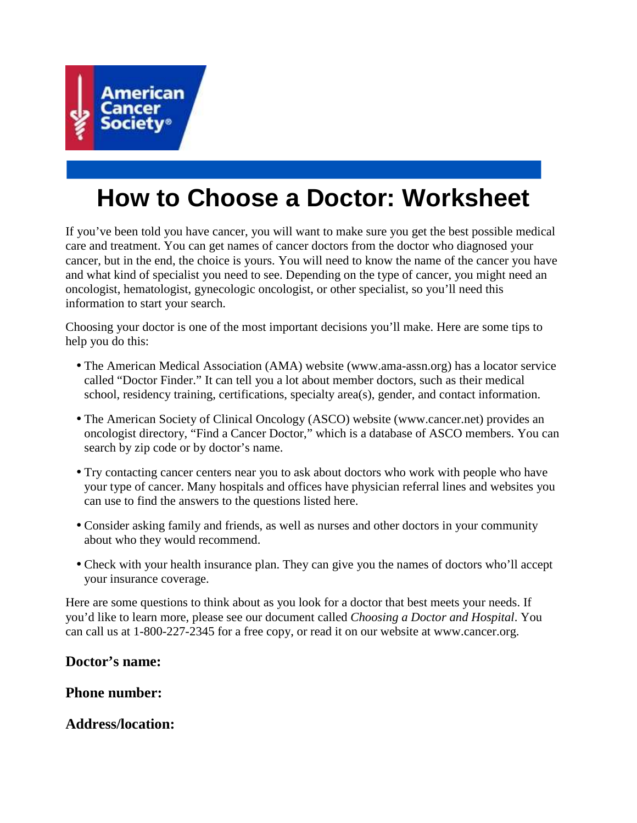

# **How to Choose a Doctor: Worksheet**

If you've been told you have cancer, you will want to make sure you get the best possible medical care and treatment. You can get names of cancer doctors from the doctor who diagnosed your cancer, but in the end, the choice is yours. You will need to know the name of the cancer you have and what kind of specialist you need to see. Depending on the type of cancer, you might need an oncologist, hematologist, gynecologic oncologist, or other specialist, so you'll need this information to start your search.

Choosing your doctor is one of the most important decisions you'll make. Here are some tips to help you do this:

- The American Medical Association (AMA) website (www.ama-assn.org) has a locator service called "Doctor Finder." It can tell you a lot about member doctors, such as their medical school, residency training, certifications, specialty area(s), gender, and contact information.
- The American Society of Clinical Oncology (ASCO) website (www.cancer.net) provides an oncologist directory, "Find a Cancer Doctor," which is a database of ASCO members. You can search by zip code or by doctor's name.
- Try contacting cancer centers near you to ask about doctors who work with people who have your type of cancer. Many hospitals and offices have physician referral lines and websites you can use to find the answers to the questions listed here.
- Consider asking family and friends, as well as nurses and other doctors in your community about who they would recommend.
- Check with your health insurance plan. They can give you the names of doctors who'll accept your insurance coverage.

Here are some questions to think about as you look for a doctor that best meets your needs. If you'd like to learn more, please see our document called *Choosing a Doctor and Hospital*. You can call us at 1-800-227-2345 for a free copy, or read it on our website at www.cancer.org.

# **Doctor's name:**

# **Phone number:**

# **Address/location:**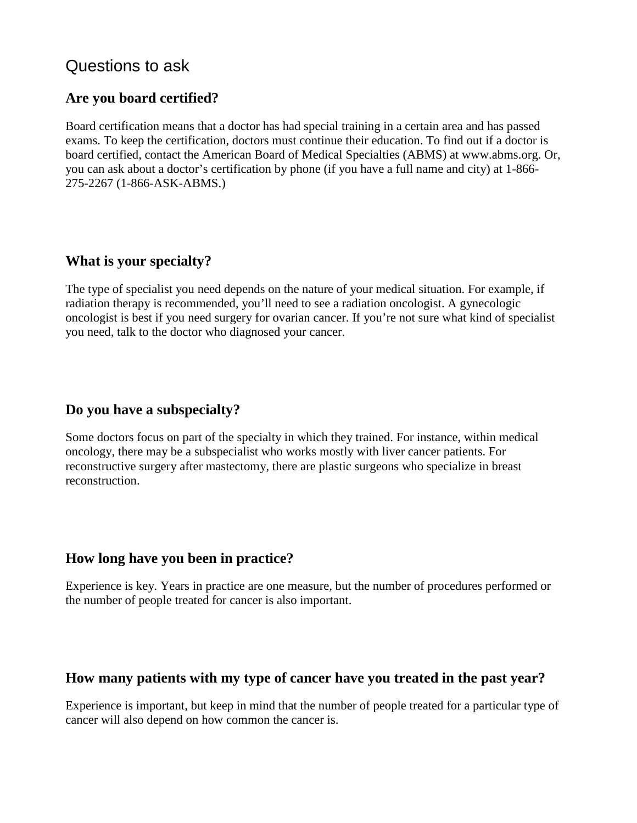# Questions to ask

# **Are you board certified?**

Board certification means that a doctor has had special training in a certain area and has passed exams. To keep the certification, doctors must continue their education. To find out if a doctor is board certified, contact the American Board of Medical Specialties (ABMS) at www.abms.org. Or, you can ask about a doctor's certification by phone (if you have a full name and city) at 1-866- 275-2267 (1-866-ASK-ABMS.)

# **What is your specialty?**

The type of specialist you need depends on the nature of your medical situation. For example, if radiation therapy is recommended, you'll need to see a radiation oncologist. A gynecologic oncologist is best if you need surgery for ovarian cancer. If you're not sure what kind of specialist you need, talk to the doctor who diagnosed your cancer.

## **Do you have a subspecialty?**

Some doctors focus on part of the specialty in which they trained. For instance, within medical oncology, there may be a subspecialist who works mostly with liver cancer patients. For reconstructive surgery after mastectomy, there are plastic surgeons who specialize in breast reconstruction.

# **How long have you been in practice?**

Experience is key. Years in practice are one measure, but the number of procedures performed or the number of people treated for cancer is also important.

#### **How many patients with my type of cancer have you treated in the past year?**

Experience is important, but keep in mind that the number of people treated for a particular type of cancer will also depend on how common the cancer is.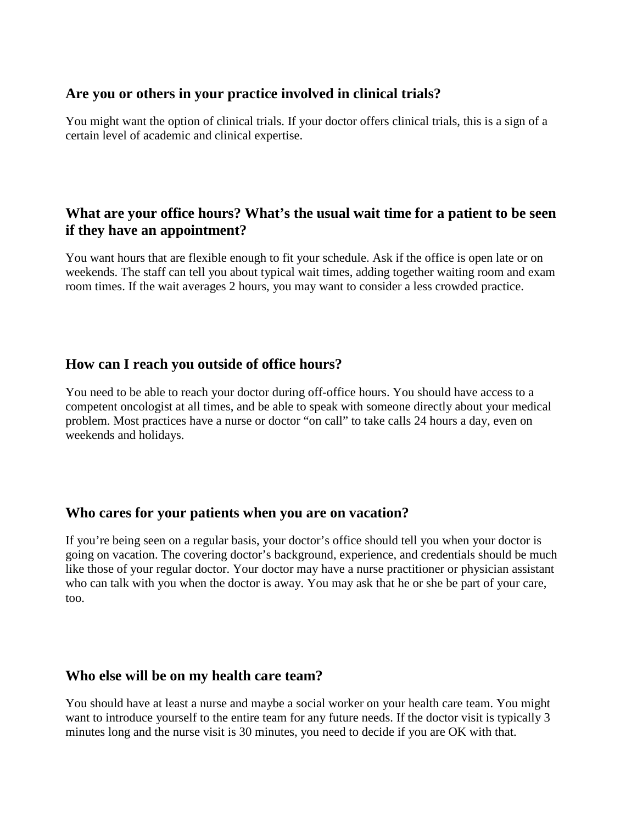#### **Are you or others in your practice involved in clinical trials?**

You might want the option of clinical trials. If your doctor offers clinical trials, this is a sign of a certain level of academic and clinical expertise.

# **What are your office hours? What's the usual wait time for a patient to be seen if they have an appointment?**

You want hours that are flexible enough to fit your schedule. Ask if the office is open late or on weekends. The staff can tell you about typical wait times, adding together waiting room and exam room times. If the wait averages 2 hours, you may want to consider a less crowded practice.

# **How can I reach you outside of office hours?**

You need to be able to reach your doctor during off-office hours. You should have access to a competent oncologist at all times, and be able to speak with someone directly about your medical problem. Most practices have a nurse or doctor "on call" to take calls 24 hours a day, even on weekends and holidays.

# **Who cares for your patients when you are on vacation?**

If you're being seen on a regular basis, your doctor's office should tell you when your doctor is going on vacation. The covering doctor's background, experience, and credentials should be much like those of your regular doctor. Your doctor may have a nurse practitioner or physician assistant who can talk with you when the doctor is away. You may ask that he or she be part of your care, too.

#### **Who else will be on my health care team?**

You should have at least a nurse and maybe a social worker on your health care team. You might want to introduce yourself to the entire team for any future needs. If the doctor visit is typically 3 minutes long and the nurse visit is 30 minutes, you need to decide if you are OK with that.